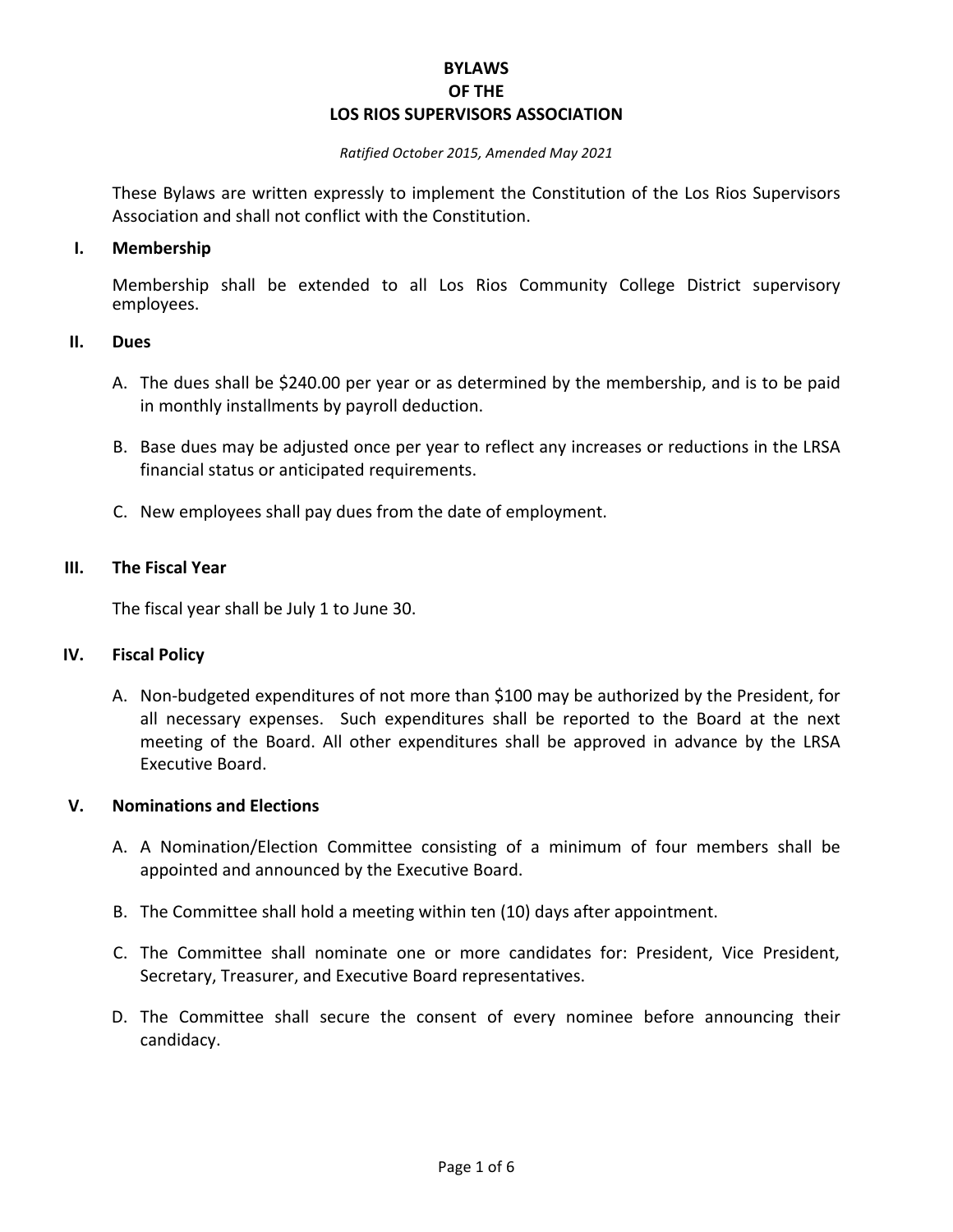## **BYLAWS OF THE LOS RIOS SUPERVISORS ASSOCIATION**

#### *Ratified October 2015, Amended May 2021*

These Bylaws are written expressly to implement the Constitution of the Los Rios Supervisors Association and shall not conflict with the Constitution.

#### **I. Membership**

Membership shall be extended to all Los Rios Community College District supervisory employees.

### **II. Dues**

- A. The dues shall be \$240.00 per year or as determined by the membership, and is to be paid in monthly installments by payroll deduction.
- B. Base dues may be adjusted once per year to reflect any increases or reductions in the LRSA financial status or anticipated requirements.
- C. New employees shall pay dues from the date of employment.

#### **III.** The Fiscal Year

The fiscal year shall be July 1 to June 30.

#### **IV. Fiscal Policy**

A. Non-budgeted expenditures of not more than \$100 may be authorized by the President, for all necessary expenses. Such expenditures shall be reported to the Board at the next meeting of the Board. All other expenditures shall be approved in advance by the LRSA Executive Board.

### **V. Nominations and Elections**

- A. A Nomination/Election Committee consisting of a minimum of four members shall be appointed and announced by the Executive Board.
- B. The Committee shall hold a meeting within ten (10) days after appointment.
- C. The Committee shall nominate one or more candidates for: President, Vice President, Secretary, Treasurer, and Executive Board representatives.
- D. The Committee shall secure the consent of every nominee before announcing their candidacy.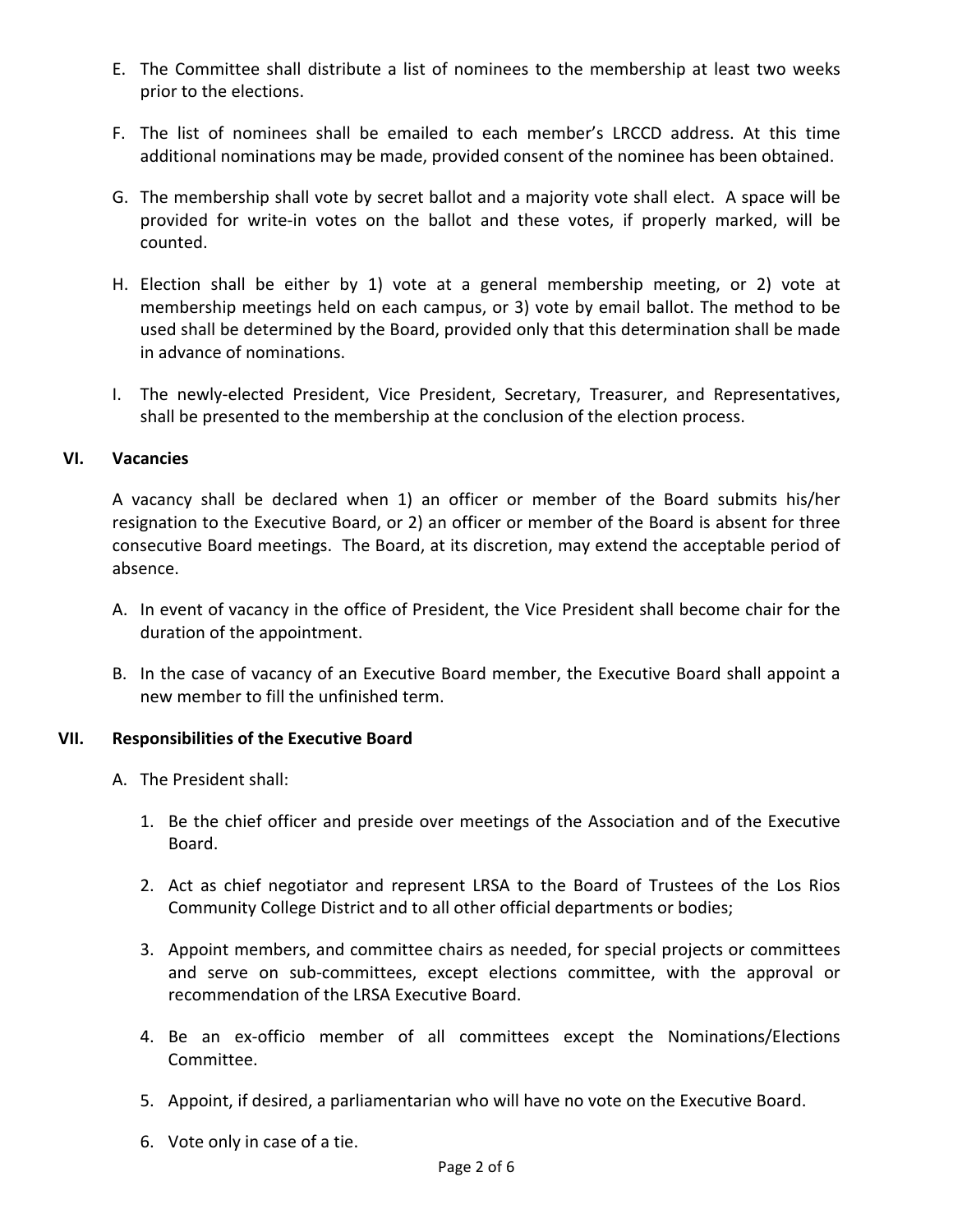- E. The Committee shall distribute a list of nominees to the membership at least two weeks prior to the elections.
- F. The list of nominees shall be emailed to each member's LRCCD address. At this time additional nominations may be made, provided consent of the nominee has been obtained.
- G. The membership shall vote by secret ballot and a majority vote shall elect. A space will be provided for write-in votes on the ballot and these votes, if properly marked, will be counted.
- H. Election shall be either by 1) vote at a general membership meeting, or 2) vote at membership meetings held on each campus, or 3) vote by email ballot. The method to be used shall be determined by the Board, provided only that this determination shall be made in advance of nominations.
- I. The newly-elected President, Vice President, Secretary, Treasurer, and Representatives, shall be presented to the membership at the conclusion of the election process.

## **VI. Vacancies**

A vacancy shall be declared when 1) an officer or member of the Board submits his/her resignation to the Executive Board, or 2) an officer or member of the Board is absent for three consecutive Board meetings. The Board, at its discretion, may extend the acceptable period of absence.

- A. In event of vacancy in the office of President, the Vice President shall become chair for the duration of the appointment.
- B. In the case of vacancy of an Executive Board member, the Executive Board shall appoint a new member to fill the unfinished term.

# **VII.** Responsibilities of the Executive Board

- A. The President shall:
	- 1. Be the chief officer and preside over meetings of the Association and of the Executive Board.
	- 2. Act as chief negotiator and represent LRSA to the Board of Trustees of the Los Rios Community College District and to all other official departments or bodies;
	- 3. Appoint members, and committee chairs as needed, for special projects or committees and serve on sub-committees, except elections committee, with the approval or recommendation of the LRSA Executive Board.
	- 4. Be an ex-officio member of all committees except the Nominations/Elections Committee.
	- 5. Appoint, if desired, a parliamentarian who will have no vote on the Executive Board.
	- 6. Vote only in case of a tie.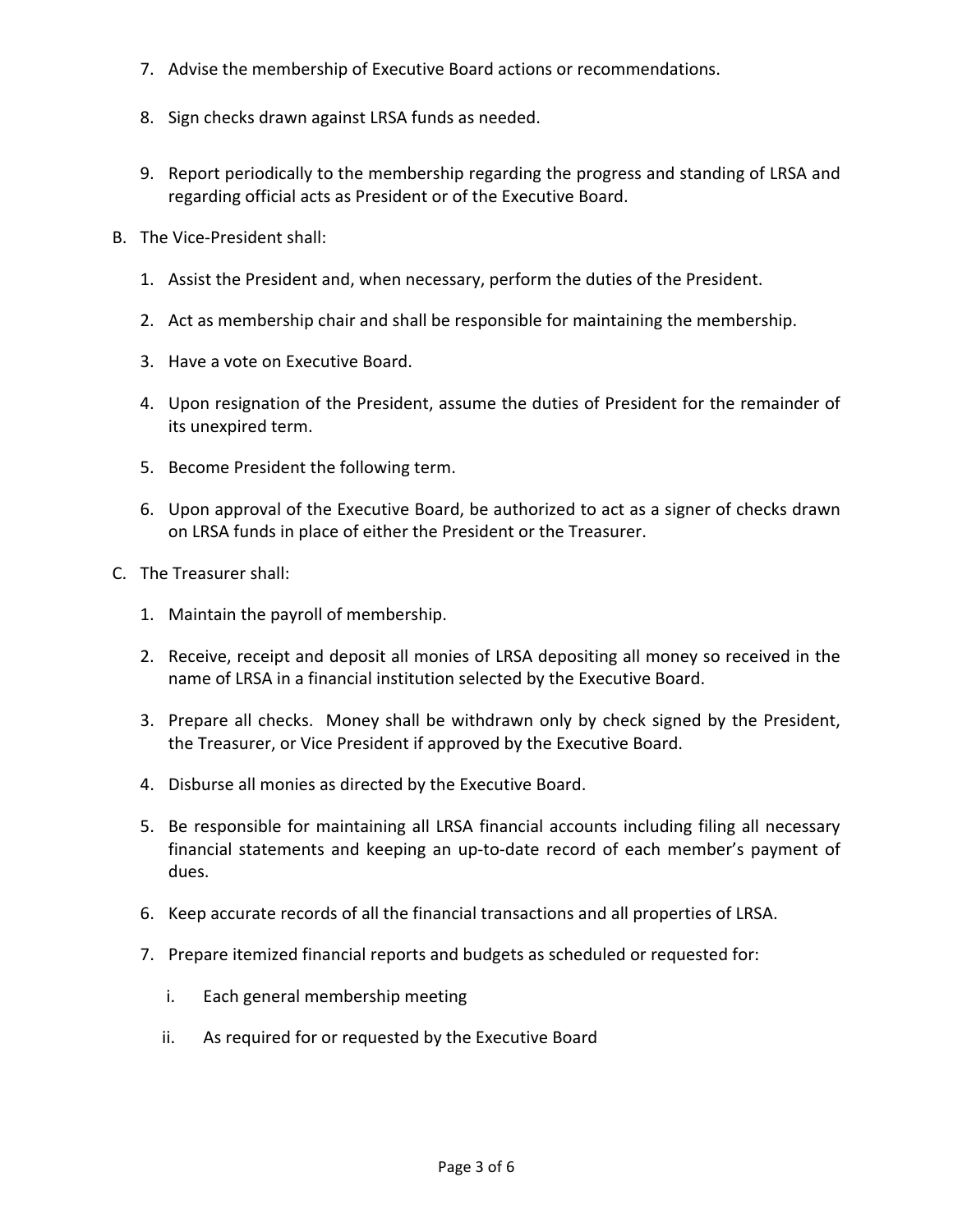- 7. Advise the membership of Executive Board actions or recommendations.
- 8. Sign checks drawn against LRSA funds as needed.
- 9. Report periodically to the membership regarding the progress and standing of LRSA and regarding official acts as President or of the Executive Board.
- B. The Vice-President shall:
	- 1. Assist the President and, when necessary, perform the duties of the President.
	- 2. Act as membership chair and shall be responsible for maintaining the membership.
	- 3. Have a vote on Executive Board.
	- 4. Upon resignation of the President, assume the duties of President for the remainder of its unexpired term.
	- 5. Become President the following term.
	- 6. Upon approval of the Executive Board, be authorized to act as a signer of checks drawn on LRSA funds in place of either the President or the Treasurer.
- C. The Treasurer shall:
	- 1. Maintain the payroll of membership.
	- 2. Receive, receipt and deposit all monies of LRSA depositing all money so received in the name of LRSA in a financial institution selected by the Executive Board.
	- 3. Prepare all checks. Money shall be withdrawn only by check signed by the President, the Treasurer, or Vice President if approved by the Executive Board.
	- 4. Disburse all monies as directed by the Executive Board.
	- 5. Be responsible for maintaining all LRSA financial accounts including filing all necessary financial statements and keeping an up-to-date record of each member's payment of dues.
	- 6. Keep accurate records of all the financial transactions and all properties of LRSA.
	- 7. Prepare itemized financial reports and budgets as scheduled or requested for:
		- i. Each general membership meeting
		- ii. As required for or requested by the Executive Board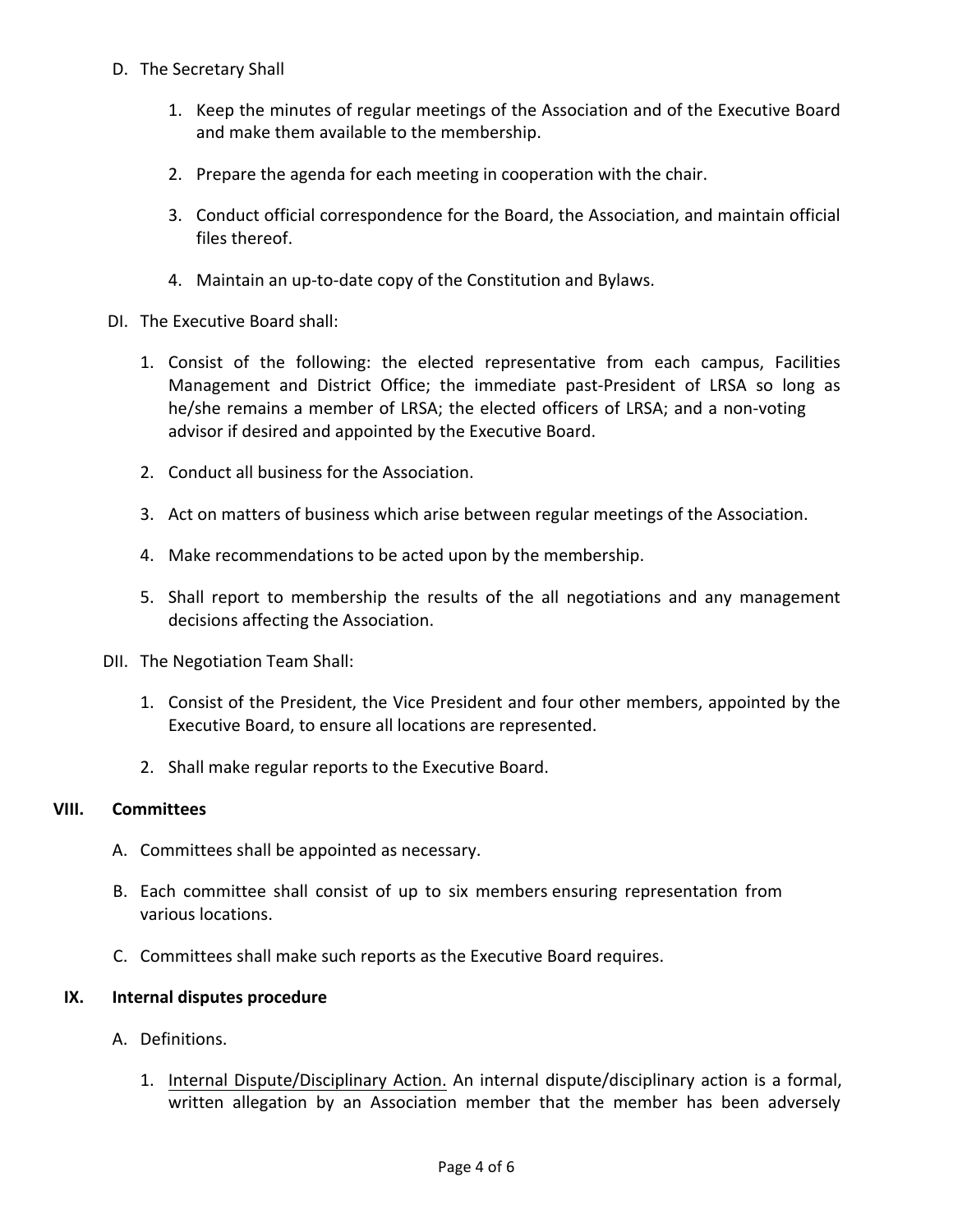- D. The Secretary Shall
	- 1. Keep the minutes of regular meetings of the Association and of the Executive Board and make them available to the membership.
	- 2. Prepare the agenda for each meeting in cooperation with the chair.
	- 3. Conduct official correspondence for the Board, the Association, and maintain official files thereof.
	- 4. Maintain an up-to-date copy of the Constitution and Bylaws.
- DI. The Executive Board shall:
	- 1. Consist of the following: the elected representative from each campus, Facilities Management and District Office; the immediate past-President of LRSA so long as he/she remains a member of LRSA; the elected officers of LRSA; and a non-voting advisor if desired and appointed by the Executive Board.
	- 2. Conduct all business for the Association.
	- 3. Act on matters of business which arise between regular meetings of the Association.
	- 4. Make recommendations to be acted upon by the membership.
	- 5. Shall report to membership the results of the all negotiations and any management decisions affecting the Association.
- DII. The Negotiation Team Shall:
	- 1. Consist of the President, the Vice President and four other members, appointed by the Executive Board, to ensure all locations are represented.
	- 2. Shall make regular reports to the Executive Board.

## **VIII. Committees**

- A. Committees shall be appointed as necessary.
- B. Each committee shall consist of up to six members ensuring representation from various locations.
- C. Committees shall make such reports as the Executive Board requires.

## **IX.** Internal disputes procedure

- A. Definitions.
	- 1. Internal Dispute/Disciplinary Action. An internal dispute/disciplinary action is a formal, written allegation by an Association member that the member has been adversely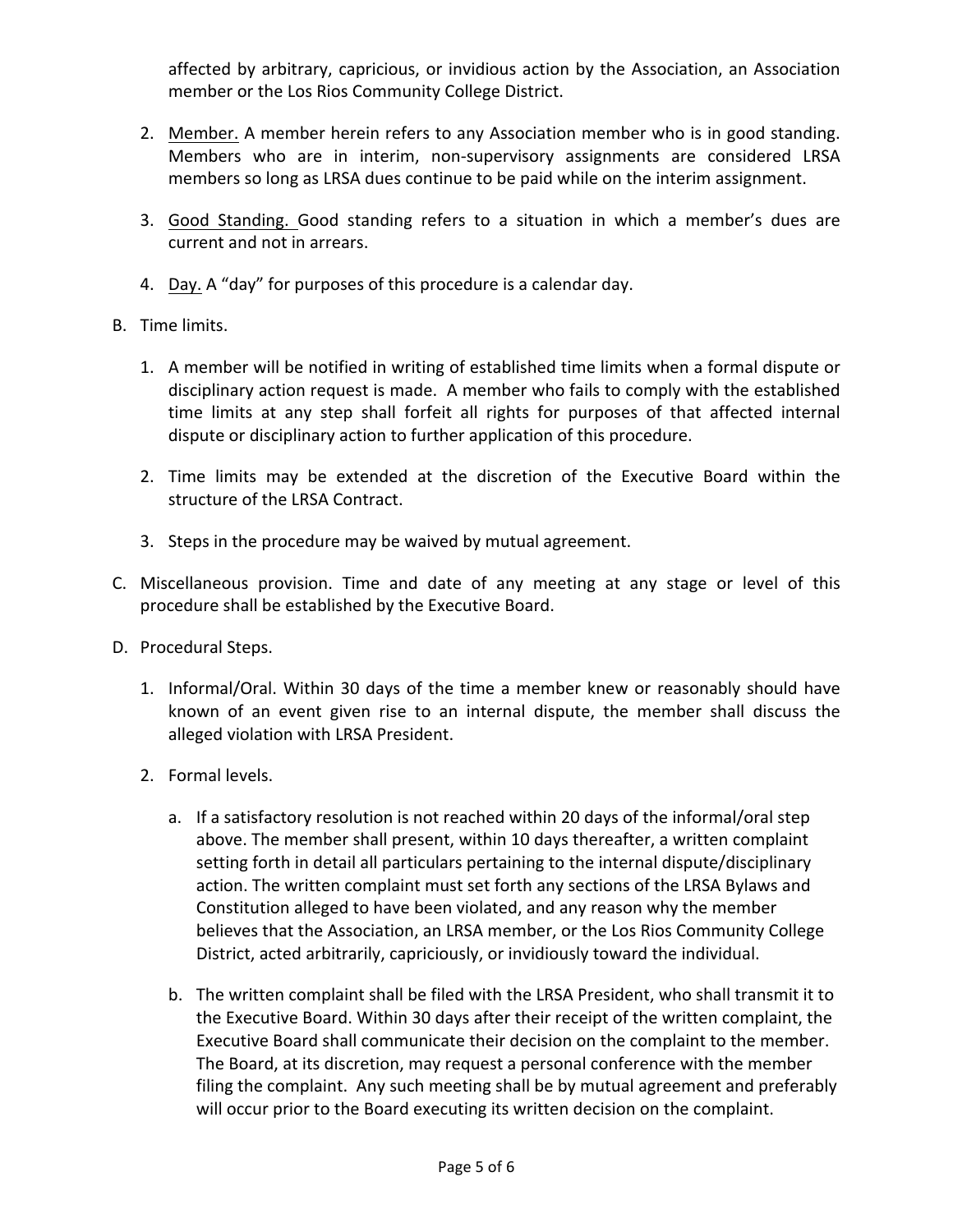affected by arbitrary, capricious, or invidious action by the Association, an Association member or the Los Rios Community College District.

- 2. Member. A member herein refers to any Association member who is in good standing. Members who are in interim, non-supervisory assignments are considered LRSA members so long as LRSA dues continue to be paid while on the interim assignment.
- 3. Good Standing. Good standing refers to a situation in which a member's dues are current and not in arrears.
- 4. Day. A "day" for purposes of this procedure is a calendar day.
- B. Time limits.
	- 1. A member will be notified in writing of established time limits when a formal dispute or disciplinary action request is made. A member who fails to comply with the established time limits at any step shall forfeit all rights for purposes of that affected internal dispute or disciplinary action to further application of this procedure.
	- 2. Time limits may be extended at the discretion of the Executive Board within the structure of the LRSA Contract.
	- 3. Steps in the procedure may be waived by mutual agreement.
- C. Miscellaneous provision. Time and date of any meeting at any stage or level of this procedure shall be established by the Executive Board.
- D. Procedural Steps.
	- 1. Informal/Oral. Within 30 days of the time a member knew or reasonably should have known of an event given rise to an internal dispute, the member shall discuss the alleged violation with LRSA President.
	- 2. Formal levels.
		- a. If a satisfactory resolution is not reached within 20 days of the informal/oral step above. The member shall present, within 10 days thereafter, a written complaint setting forth in detail all particulars pertaining to the internal dispute/disciplinary action. The written complaint must set forth any sections of the LRSA Bylaws and Constitution alleged to have been violated, and any reason why the member believes that the Association, an LRSA member, or the Los Rios Community College District, acted arbitrarily, capriciously, or invidiously toward the individual.
		- b. The written complaint shall be filed with the LRSA President, who shall transmit it to the Executive Board. Within 30 days after their receipt of the written complaint, the Executive Board shall communicate their decision on the complaint to the member. The Board, at its discretion, may request a personal conference with the member filing the complaint. Any such meeting shall be by mutual agreement and preferably will occur prior to the Board executing its written decision on the complaint.